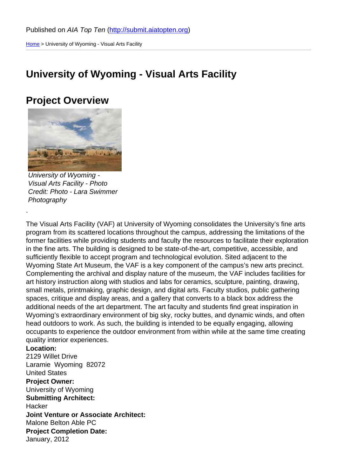Home > University of Wyoming - Visual Arts Facility

#### [Uni](http://submit.aiatopten.org/)versity of Wyoming - Visual Arts Facility

#### Project Overview

University of Wyoming - Visual Arts Facility - Photo Credit: Photo - Lara Swimmer Photography

.

The Visual Arts Facility (VAF) at University of Wyoming consolidates the University's fine arts program from its scattered locations throughout the campus, addressing the limitations of the former facilities while providing students and faculty the resources to facilitate their exploration in the fine arts. The building is designed to be state-of-the-art, competitive, accessible, and sufficiently flexible to accept program and technological evolution. Sited adjacent to the Wyoming State Art Museum, the VAF is a key component of the campus's new arts precinct. Complementing the archival and display nature of the museum, the VAF includes facilities for art history instruction along with studios and labs for ceramics, sculpture, painting, drawing, small metals, printmaking, graphic design, and digital arts. Faculty studios, public gathering spaces, critique and display areas, and a gallery that converts to a black box address the additional needs of the art department. The art faculty and students find great inspiration in Wyoming's extraordinary environment of big sky, rocky buttes, and dynamic winds, and often head outdoors to work. As such, the building is intended to be equally engaging, allowing occupants to experience the outdoor environment from within while at the same time creating quality interior experiences.

Location: 2129 Willet Drive Laramie Wyoming 82072 United States Project Owner: University of Wyoming Submitting Architect: **Hacker** Joint Venture or Associate Architect: Malone Belton Able PC Project Completion Date: January, 2012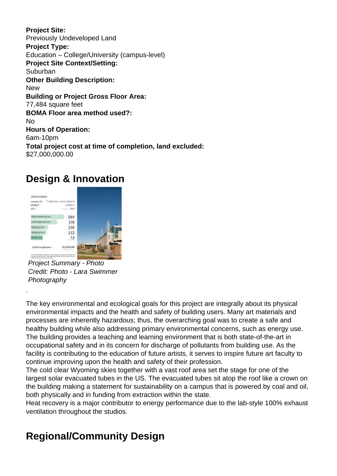**Project Site:**  Previously Undeveloped Land **Project Type:**  Education – College/University (campus-level) **Project Site Context/Setting: Suburban Other Building Description:**  New **Building or Project Gross Floor Area:**  77,484 square feet **BOMA Floor area method used?:**  No **Hours of Operation:**  6am-10pm **Total project cost at time of completion, land excluded:**  \$27,000,000.00

# **Design & Innovation**



Project Summary - Photo Credit: Photo - Lara Swimmer **Photography** 

.

The key environmental and ecological goals for this project are integrally about its physical environmental impacts and the health and safety of building users. Many art materials and processes are inherently hazardous; thus, the overarching goal was to create a safe and healthy building while also addressing primary environmental concerns, such as energy use. The building provides a teaching and learning environment that is both state-of-the-art in occupational safety and in its concern for discharge of pollutants from building use. As the facility is contributing to the education of future artists, it serves to inspire future art faculty to continue improving upon the health and safety of their profession.

The cold clear Wyoming skies together with a vast roof area set the stage for one of the largest solar evacuated tubes in the US. The evacuated tubes sit atop the roof like a crown on the building making a statement for sustainability on a campus that is powered by coal and oil, both physically and in funding from extraction within the state.

Heat recovery is a major contributor to energy performance due to the lab-style 100% exhaust ventilation throughout the studios.

# **Regional/Community Design**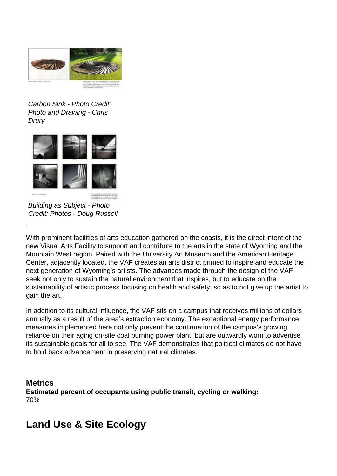

#### Carbon Sink - Photo Credit: Photo and Drawing - Chris Drury



Building as Subject - Photo Credit: Photos - Doug Russell

.

With prominent facilities of arts education gathered on the coasts, it is the direct intent of the new Visual Arts Facility to support and contribute to the arts in the state of Wyoming and the Mountain West region. Paired with the University Art Museum and the American Heritage Center, adjacently located, the VAF creates an arts district primed to inspire and educate the next generation of Wyoming's artists. The advances made through the design of the VAF seek not only to sustain the natural environment that inspires, but to educate on the sustainability of artistic process focusing on health and safety, so as to not give up the artist to gain the art.

In addition to its cultural influence, the VAF sits on a campus that receives millions of dollars annually as a result of the area's extraction economy. The exceptional energy performance measures implemented here not only prevent the continuation of the campus's growing reliance on their aging on-site coal burning power plant, but are outwardly worn to advertise its sustainable goals for all to see. The VAF demonstrates that political climates do not have to hold back advancement in preserving natural climates.

**Metrics Estimated percent of occupants using public transit, cycling or walking:**  70%

# **Land Use & Site Ecology**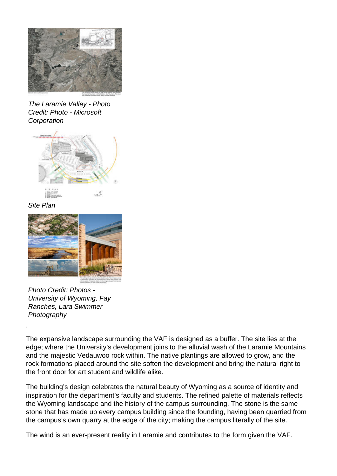

The Laramie Valley - Photo Credit: Photo - Microsoft **Corporation** 



Site Plan



Photo Credit: Photos - University of Wyoming, Fay Ranches, Lara Swimmer **Photography** 

The expansive landscape surrounding the VAF is designed as a buffer. The site lies at the edge; where the University's development joins to the alluvial wash of the Laramie Mountains and the majestic Vedauwoo rock within. The native plantings are allowed to grow, and the rock formations placed around the site soften the development and bring the natural right to the front door for art student and wildlife alike.

The building's design celebrates the natural beauty of Wyoming as a source of identity and inspiration for the department's faculty and students. The refined palette of materials reflects the Wyoming landscape and the history of the campus surrounding. The stone is the same stone that has made up every campus building since the founding, having been quarried from the campus's own quarry at the edge of the city; making the campus literally of the site.

The wind is an ever-present reality in Laramie and contributes to the form given the VAF.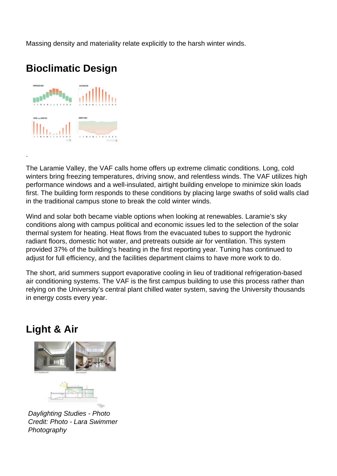Massing density and materiality relate explicitly to the harsh winter winds.

# **Bioclimatic Design**



.

The Laramie Valley, the VAF calls home offers up extreme climatic conditions. Long, cold winters bring freezing temperatures, driving snow, and relentless winds. The VAF utilizes high performance windows and a well-insulated, airtight building envelope to minimize skin loads first. The building form responds to these conditions by placing large swaths of solid walls clad in the traditional campus stone to break the cold winter winds.

Wind and solar both became viable options when looking at renewables. Laramie's sky conditions along with campus political and economic issues led to the selection of the solar thermal system for heating. Heat flows from the evacuated tubes to support the hydronic radiant floors, domestic hot water, and pretreats outside air for ventilation. This system provided 37% of the building's heating in the first reporting year. Tuning has continued to adjust for full efficiency, and the facilities department claims to have more work to do.

The short, arid summers support evaporative cooling in lieu of traditional refrigeration-based air conditioning systems. The VAF is the first campus building to use this process rather than relying on the University's central plant chilled water system, saving the University thousands in energy costs every year.

## **Light & Air**



Daylighting Studies - Photo Credit: Photo - Lara Swimmer **Photography**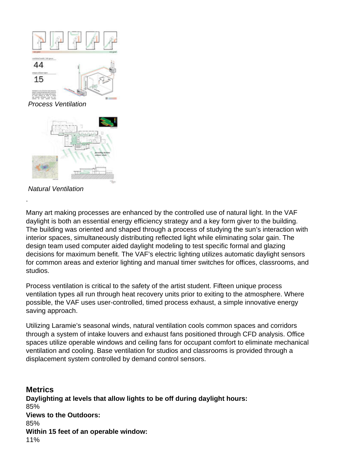

Natural Ventilation

Many art making processes are enhanced by the controlled use of natural light. In the VAF daylight is both an essential energy efficiency strategy and a key form giver to the building. The building was oriented and shaped through a process of studying the sun's interaction with interior spaces, simultaneously distributing reflected light while eliminating solar gain. The design team used computer aided daylight modeling to test specific formal and glazing decisions for maximum benefit. The VAF's electric lighting utilizes automatic daylight sensors for common areas and exterior lighting and manual timer switches for offices, classrooms, and studios.

Process ventilation is critical to the safety of the artist student. Fifteen unique process ventilation types all run through heat recovery units prior to exiting to the atmosphere. Where possible, the VAF uses user-controlled, timed process exhaust, a simple innovative energy saving approach.

Utilizing Laramie's seasonal winds, natural ventilation cools common spaces and corridors through a system of intake louvers and exhaust fans positioned through CFD analysis. Office spaces utilize operable windows and ceiling fans for occupant comfort to eliminate mechanical ventilation and cooling. Base ventilation for studios and classrooms is provided through a displacement system controlled by demand control sensors.

**Metrics Daylighting at levels that allow lights to be off during daylight hours:**  85% **Views to the Outdoors:**  85% **Within 15 feet of an operable window:**  11%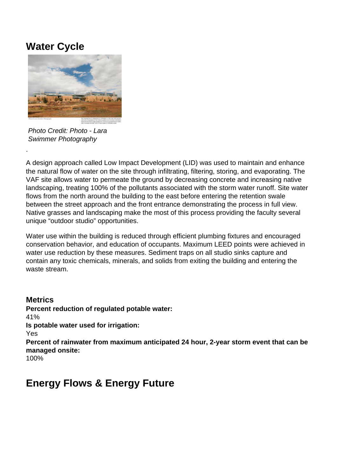## **Water Cycle**



Photo Credit: Photo - Lara Swimmer Photography

.

A design approach called Low Impact Development (LID) was used to maintain and enhance the natural flow of water on the site through infiltrating, filtering, storing, and evaporating. The VAF site allows water to permeate the ground by decreasing concrete and increasing native landscaping, treating 100% of the pollutants associated with the storm water runoff. Site water flows from the north around the building to the east before entering the retention swale between the street approach and the front entrance demonstrating the process in full view. Native grasses and landscaping make the most of this process providing the faculty several unique "outdoor studio" opportunities.

Water use within the building is reduced through efficient plumbing fixtures and encouraged conservation behavior, and education of occupants. Maximum LEED points were achieved in water use reduction by these measures. Sediment traps on all studio sinks capture and contain any toxic chemicals, minerals, and solids from exiting the building and entering the waste stream.

**Metrics Percent reduction of regulated potable water:**  41% **Is potable water used for irrigation:**  Yes **Percent of rainwater from maximum anticipated 24 hour, 2-year storm event that can be managed onsite:**  100%

## **Energy Flows & Energy Future**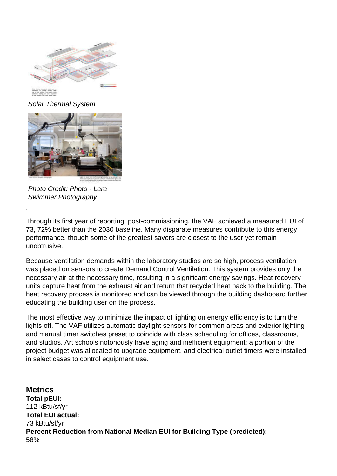

Solar Thermal System



Photo Credit: Photo - Lara Swimmer Photography

Through its first year of reporting, post-commissioning, the VAF achieved a measured EUI of 73, 72% better than the 2030 baseline. Many disparate measures contribute to this energy performance, though some of the greatest savers are closest to the user yet remain unobtrusive.

Because ventilation demands within the laboratory studios are so high, process ventilation was placed on sensors to create Demand Control Ventilation. This system provides only the necessary air at the necessary time, resulting in a significant energy savings. Heat recovery units capture heat from the exhaust air and return that recycled heat back to the building. The heat recovery process is monitored and can be viewed through the building dashboard further educating the building user on the process.

The most effective way to minimize the impact of lighting on energy efficiency is to turn the lights off. The VAF utilizes automatic daylight sensors for common areas and exterior lighting and manual timer switches preset to coincide with class scheduling for offices, classrooms, and studios. Art schools notoriously have aging and inefficient equipment; a portion of the project budget was allocated to upgrade equipment, and electrical outlet timers were installed in select cases to control equipment use.

**Metrics Total pEUI:**  112 kBtu/sf/yr **Total EUI actual:**  73 kBtu/sf/yr **Percent Reduction from National Median EUI for Building Type (predicted):**  58%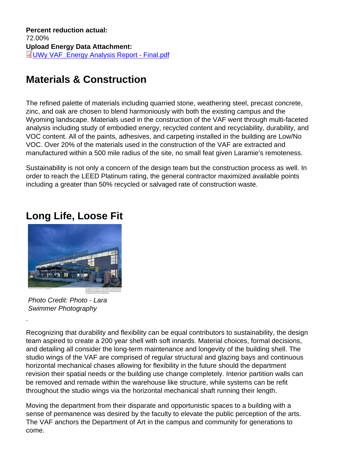Percent reduction actual: 72.00% Upload Energy Data Attachment: UWy VAF\_Energy Analysis Report - Final.pdf

## [Materials & Construction](http://submit.aiatopten.org/sites/default/files/UWy VAF_Energy Analysis Report - Final.pdf)

The refined palette of materials including quarried stone, weathering steel, precast concrete, zinc, and oak are chosen to blend harmoniously with both the existing campus and the Wyoming landscape. Materials used in the construction of the VAF went through multi-faceted analysis including study of embodied energy, recycled content and recyclability, durability, and VOC content. All of the paints, adhesives, and carpeting installed in the building are Low/No VOC. Over 20% of the materials used in the construction of the VAF are extracted and manufactured within a 500 mile radius of the site, no small feat given Laramie's remoteness.

Sustainability is not only a concern of the design team but the construction process as well. In order to reach the LEED Platinum rating, the general contractor maximized available points including a greater than 50% recycled or salvaged rate of construction waste.

#### Long Life, Loose Fit

Photo Credit: Photo - Lara Swimmer Photography

.

Recognizing that durability and flexibility can be equal contributors to sustainability, the design team aspired to create a 200 year shell with soft innards. Material choices, formal decisions, and detailing all consider the long-term maintenance and longevity of the building shell. The studio wings of the VAF are comprised of regular structural and glazing bays and continuous horizontal mechanical chases allowing for flexibility in the future should the department revision their spatial needs or the building use change completely. Interior partition walls can be removed and remade within the warehouse like structure, while systems can be refit throughout the studio wings via the horizontal mechanical shaft running their length.

Moving the department from their disparate and opportunistic spaces to a building with a sense of permanence was desired by the faculty to elevate the public perception of the arts. The VAF anchors the Department of Art in the campus and community for generations to come.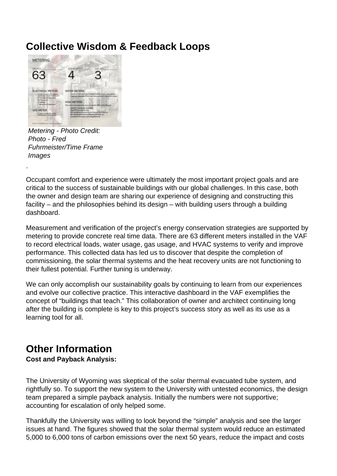## **Collective Wisdom & Feedback Loops**



Metering - Photo Credit: Photo - Fred Fuhrmeister/Time Frame Images

.

Occupant comfort and experience were ultimately the most important project goals and are critical to the success of sustainable buildings with our global challenges. In this case, both the owner and design team are sharing our experience of designing and constructing this facility – and the philosophies behind its design – with building users through a building dashboard.

Measurement and verification of the project's energy conservation strategies are supported by metering to provide concrete real time data. There are 63 different meters installed in the VAF to record electrical loads, water usage, gas usage, and HVAC systems to verify and improve performance. This collected data has led us to discover that despite the completion of commissioning, the solar thermal systems and the heat recovery units are not functioning to their fullest potential. Further tuning is underway.

We can only accomplish our sustainability goals by continuing to learn from our experiences and evolve our collective practice. This interactive dashboard in the VAF exemplifies the concept of "buildings that teach." This collaboration of owner and architect continuing long after the building is complete is key to this project's success story as well as its use as a learning tool for all.

#### **Other Information**

**Cost and Payback Analysis:** 

The University of Wyoming was skeptical of the solar thermal evacuated tube system, and rightfully so. To support the new system to the University with untested economics, the design team prepared a simple payback analysis. Initially the numbers were not supportive; accounting for escalation of only helped some.

Thankfully the University was willing to look beyond the "simple" analysis and see the larger issues at hand. The figures showed that the solar thermal system would reduce an estimated 5,000 to 6,000 tons of carbon emissions over the next 50 years, reduce the impact and costs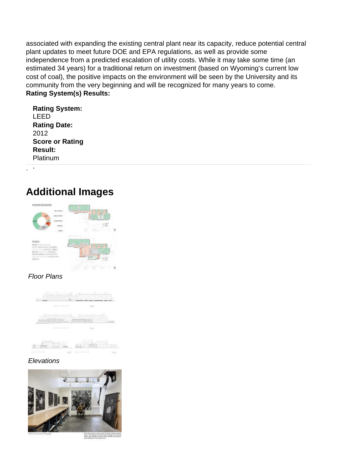associated with expanding the existing central plant near its capacity, reduce potential central plant updates to meet future DOE and EPA regulations, as well as provide some independence from a predicted escalation of utility costs. While it may take some time (an estimated 34 years) for a traditional return on investment (based on Wyoming's current low cost of coal), the positive impacts on the environment will be seen by the University and its community from the very beginning and will be recognized for many years to come. **Rating System(s) Results:** 

| <b>Rating System:</b>  |
|------------------------|
| LEED                   |
| <b>Rating Date:</b>    |
| 2012                   |
| <b>Score or Rating</b> |
| <b>Result:</b>         |
| Platinum               |

. .

## **Additional Images**

| ROCASNE<br><b>BREAKD</b>                                                        |                                                                                                                                                                                                                                                                                                                                                                                                                                                                                                          |
|---------------------------------------------------------------------------------|----------------------------------------------------------------------------------------------------------------------------------------------------------------------------------------------------------------------------------------------------------------------------------------------------------------------------------------------------------------------------------------------------------------------------------------------------------------------------------------------------------|
|                                                                                 |                                                                                                                                                                                                                                                                                                                                                                                                                                                                                                          |
|                                                                                 |                                                                                                                                                                                                                                                                                                                                                                                                                                                                                                          |
|                                                                                 |                                                                                                                                                                                                                                                                                                                                                                                                                                                                                                          |
|                                                                                 | -<br>$\label{eq:3.1} \begin{split} \mathcal{L}(1) = \mathcal{L}_1 \cdot \mathcal{L}_2 \cdot \mathcal{L}_3 \cdot \mathcal{L}_4 \cdot \mathcal{L}_5 \cdot \mathcal{L}_6 \cdot \mathcal{L}_7 \cdot \mathcal{L}_8 \cdot \mathcal{L}_9 \cdot \mathcal{L}_9 \cdot \mathcal{L}_1 \cdot \mathcal{L}_1 \cdot \mathcal{L}_1 \cdot \mathcal{L}_1 \cdot \mathcal{L}_2 \cdot \mathcal{L}_1 \cdot \mathcal{L}_1 \cdot \mathcal{L}_2 \cdot \mathcal{L}_1 \cdot \mathcal{L}_1 \cdot \mathcal{L}_2 \cdot \mathcal{L}_1 \$ |
|                                                                                 |                                                                                                                                                                                                                                                                                                                                                                                                                                                                                                          |
|                                                                                 |                                                                                                                                                                                                                                                                                                                                                                                                                                                                                                          |
| 11,053<br>MODEL WHILE SHAKING.                                                  |                                                                                                                                                                                                                                                                                                                                                                                                                                                                                                          |
| VILLA FRANCASCON, TELESCO<br>THE RABBETTE SHARE<br><b>Send &amp; P. Tourist</b> |                                                                                                                                                                                                                                                                                                                                                                                                                                                                                                          |
| fall Title N<br>DOTH: MIDA                                                      | ۰                                                                                                                                                                                                                                                                                                                                                                                                                                                                                                        |
| AMING THE BAIN.<br><b>FINALTY</b>                                               |                                                                                                                                                                                                                                                                                                                                                                                                                                                                                                          |
| mata ka                                                                         |                                                                                                                                                                                                                                                                                                                                                                                                                                                                                                          |
|                                                                                 | School Strategies Avenue                                                                                                                                                                                                                                                                                                                                                                                                                                                                                 |
|                                                                                 |                                                                                                                                                                                                                                                                                                                                                                                                                                                                                                          |

#### Floor Plans

| $-0.01 + 1.1 + 1.1 + 1.0 + 0.1$<br>a ta wanna | ь<br>me: |
|-----------------------------------------------|----------|
|                                               |          |
| $\sim$                                        |          |
| $-0.04414$ and $-0.1414$ coded                | w        |
|                                               |          |

#### **Elevations**